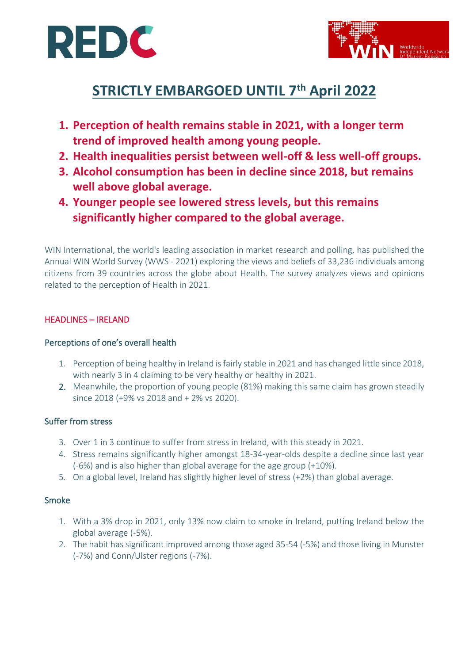



# **STRICTLY EMBARGOED UNTIL 7 th April 2022**

- **1. Perception of health remains stable in 2021, with a longer term trend of improved health among young people.**
- **2. Health inequalities persist between well-off & less well-off groups.**
- **3. Alcohol consumption has been in decline since 2018, but remains well above global average.**
- **4. Younger people see lowered stress levels, but this remains significantly higher compared to the global average.**

WIN International, the world's leading association in market research and polling, has published the Annual WIN World Survey (WWS - 2021) exploring the views and beliefs of 33,236 individuals among citizens from 39 countries across the globe about Health. The survey analyzes views and opinions related to the perception of Health in 2021.

# HEADLINES – IRELAND

## Perceptions of one's overall health

- 1. Perception of being healthy in Ireland is fairly stable in 2021 and has changed little since 2018, with nearly 3 in 4 claiming to be very healthy or healthy in 2021.
- 2. Meanwhile, the proportion of young people (81%) making this same claim has grown steadily since 2018 (+9% vs 2018 and + 2% vs 2020).

## Suffer from stress

- 3. Over 1 in 3 continue to suffer from stress in Ireland, with this steady in 2021.
- 4. Stress remains significantly higher amongst 18-34-year-olds despite a decline since last year (-6%) and is also higher than global average for the age group (+10%).
- 5. On a global level, Ireland has slightly higher level of stress (+2%) than global average.

#### Smoke

- 1. With a 3% drop in 2021, only 13% now claim to smoke in Ireland, putting Ireland below the global average (-5%).
- 2. The habit has significant improved among those aged 35-54 (-5%) and those living in Munster (-7%) and Conn/Ulster regions (-7%).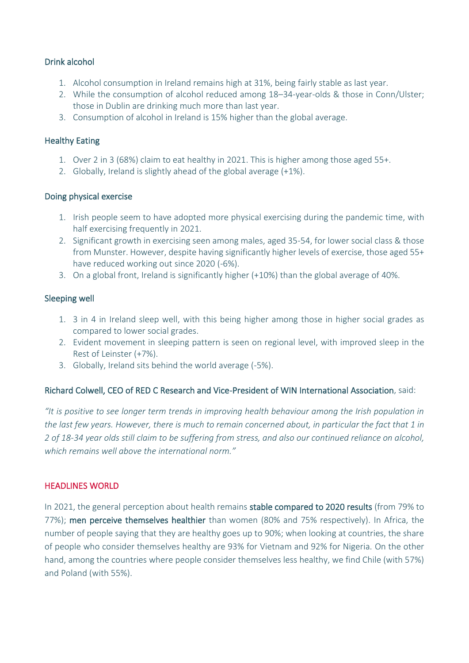## Drink alcohol

- 1. Alcohol consumption in Ireland remains high at 31%, being fairly stable as last year.
- 2. While the consumption of alcohol reduced among 18–34-year-olds & those in Conn/Ulster; those in Dublin are drinking much more than last year.
- 3. Consumption of alcohol in Ireland is 15% higher than the global average.

## Healthy Eating

- 1. Over 2 in 3 (68%) claim to eat healthy in 2021. This is higher among those aged 55+.
- 2. Globally, Ireland is slightly ahead of the global average (+1%).

### Doing physical exercise

- 1. Irish people seem to have adopted more physical exercising during the pandemic time, with half exercising frequently in 2021.
- 2. Significant growth in exercising seen among males, aged 35-54, for lower social class & those from Munster. However, despite having significantly higher levels of exercise, those aged 55+ have reduced working out since 2020 (-6%).
- 3. On a global front, Ireland is significantly higher (+10%) than the global average of 40%.

## Sleeping well

- 1. 3 in 4 in Ireland sleep well, with this being higher among those in higher social grades as compared to lower social grades.
- 2. Evident movement in sleeping pattern is seen on regional level, with improved sleep in the Rest of Leinster (+7%).
- 3. Globally, Ireland sits behind the world average (-5%).

#### Richard Colwell, CEO of RED C Research and Vice-President of WIN International Association, said:

*"It is positive to see longer term trends in improving health behaviour among the Irish population in the last few years. However, there is much to remain concerned about, in particular the fact that 1 in 2 of 18-34 year olds still claim to be suffering from stress, and also our continued reliance on alcohol, which remains well above the international norm."*

#### HEADLINES WORLD

In 2021, the general perception about health remains stable compared to 2020 results (from 79% to 77%); men perceive themselves healthier than women (80% and 75% respectively). In Africa, the number of people saying that they are healthy goes up to 90%; when looking at countries, the share of people who consider themselves healthy are 93% for Vietnam and 92% for Nigeria. On the other hand, among the countries where people consider themselves less healthy, we find Chile (with 57%) and Poland (with 55%).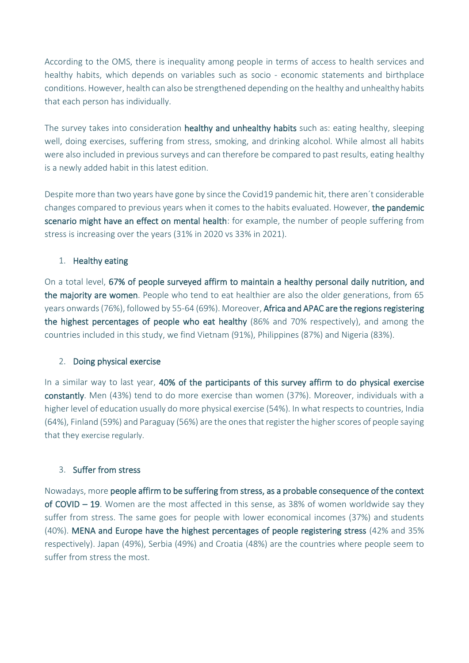According to the OMS, there is inequality among people in terms of access to health services and healthy habits, which depends on variables such as socio - economic statements and birthplace conditions. However, health can also be strengthened depending on the healthy and unhealthy habits that each person has individually.

The survey takes into consideration healthy and unhealthy habits such as: eating healthy, sleeping well, doing exercises, suffering from stress, smoking, and drinking alcohol. While almost all habits were also included in previous surveys and can therefore be compared to past results, eating healthy is a newly added habit in this latest edition.

Despite more than two years have gone by since the Covid19 pandemic hit, there aren´t considerable changes compared to previous years when it comes to the habits evaluated. However, the pandemic scenario might have an effect on mental health: for example, the number of people suffering from stress is increasing over the years (31% in 2020 vs 33% in 2021).

# 1. Healthy eating

On a total level, 67% of people surveyed affirm to maintain a healthy personal daily nutrition, and the majority are women. People who tend to eat healthier are also the older generations, from 65 years onwards (76%), followed by 55-64 (69%). Moreover, Africa and APAC are the regions registering the highest percentages of people who eat healthy (86% and 70% respectively), and among the countries included in this study, we find Vietnam (91%), Philippines (87%) and Nigeria (83%).

## 2. Doing physical exercise

In a similar way to last year, 40% of the participants of this survey affirm to do physical exercise constantly. Men (43%) tend to do more exercise than women (37%). Moreover, individuals with a higher level of education usually do more physical exercise (54%). In what respects to countries, India (64%), Finland (59%) and Paraguay (56%) are the ones that register the higher scores of people saying that they exercise regularly.

# 3. Suffer from stress

Nowadays, more people affirm to be suffering from stress, as a probable consequence of the context of COVID – 19. Women are the most affected in this sense, as 38% of women worldwide say they suffer from stress. The same goes for people with lower economical incomes (37%) and students (40%). MENA and Europe have the highest percentages of people registering stress (42% and 35% respectively). Japan (49%), Serbia (49%) and Croatia (48%) are the countries where people seem to suffer from stress the most.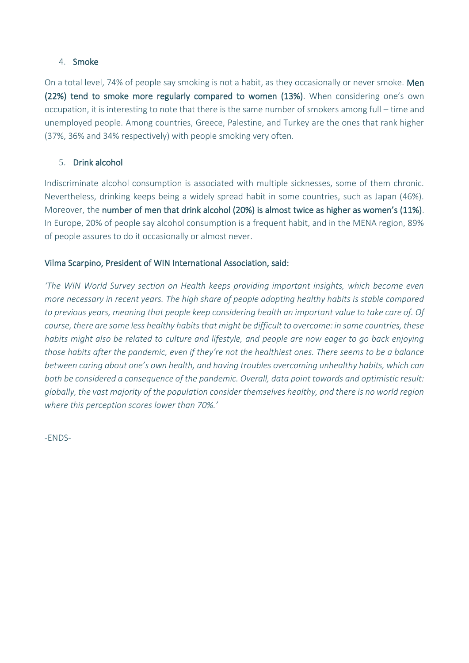### 4. Smoke

On a total level, 74% of people say smoking is not a habit, as they occasionally or never smoke. Men (22%) tend to smoke more regularly compared to women (13%). When considering one's own occupation, it is interesting to note that there is the same number of smokers among full – time and unemployed people. Among countries, Greece, Palestine, and Turkey are the ones that rank higher (37%, 36% and 34% respectively) with people smoking very often.

## 5. Drink alcohol

Indiscriminate alcohol consumption is associated with multiple sicknesses, some of them chronic. Nevertheless, drinking keeps being a widely spread habit in some countries, such as Japan (46%). Moreover, the number of men that drink alcohol (20%) is almost twice as higher as women's (11%). In Europe, 20% of people say alcohol consumption is a frequent habit, and in the MENA region, 89% of people assures to do it occasionally or almost never.

## Vilma Scarpino, President of WIN International Association, said:

*'The WIN World Survey section on Health keeps providing important insights, which become even more necessary in recent years. The high share of people adopting healthy habits is stable compared to previous years, meaning that people keep considering health an important value to take care of. Of course, there are some less healthy habits that might be difficult to overcome: in some countries, these habits might also be related to culture and lifestyle, and people are now eager to go back enjoying those habits after the pandemic, even if they're not the healthiest ones. There seems to be a balance between caring about one's own health, and having troubles overcoming unhealthy habits, which can both be considered a consequence of the pandemic. Overall, data point towards and optimistic result: globally, the vast majority of the population consider themselves healthy, and there is no world region where this perception scores lower than 70%.'* 

-ENDS-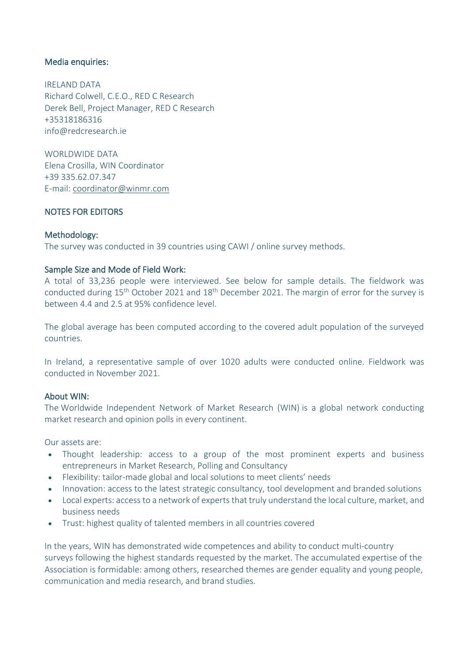#### Media enquiries:

IRELAND DATA Richard Colwell, C.E.O., RED C Research Derek Bell, Project Manager, RED C Research +35318186316 info@redcresearch.ie

WORLDWIDE DATA Elena Crosilla, WIN Coordinator +39 335.62.07.347 E-mail: [coordinator@winmr.com](mailto:coordinator@winmr.com)

### NOTES FOR EDITORS

#### Methodology:

The survey was conducted in 39 countries using CAWI / online survey methods.

### Sample Size and Mode of Field Work:

A total of 33,236 people were interviewed. See below for sample details. The fieldwork was conducted during 15<sup>th</sup> October 2021 and 18<sup>th</sup> December 2021. The margin of error for the survey is between 4.4 and 2.5 at 95% confidence level.

The global average has been computed according to the covered adult population of the surveyed countries.

In Ireland, a representative sample of over 1020 adults were conducted online. Fieldwork was conducted in November 2021.

#### About WIN:

The Worldwide Independent Network of Market Research (WIN) is a global network conducting market research and opinion polls in every continent.

Our assets are:

- Thought leadership: access to a group of the most prominent experts and business entrepreneurs in Market Research, Polling and Consultancy
- Flexibility: tailor-made global and local solutions to meet clients' needs
- Innovation: access to the latest strategic consultancy, tool development and branded solutions
- Local experts: access to a network of experts that truly understand the local culture, market, and business needs
- Trust: highest quality of talented members in all countries covered

In the years, WIN has demonstrated wide competences and ability to conduct multi-country surveys following the highest standards requested by the market. The accumulated expertise of the Association is formidable: among others, researched themes are gender equality and young people, communication and media research, and brand studies.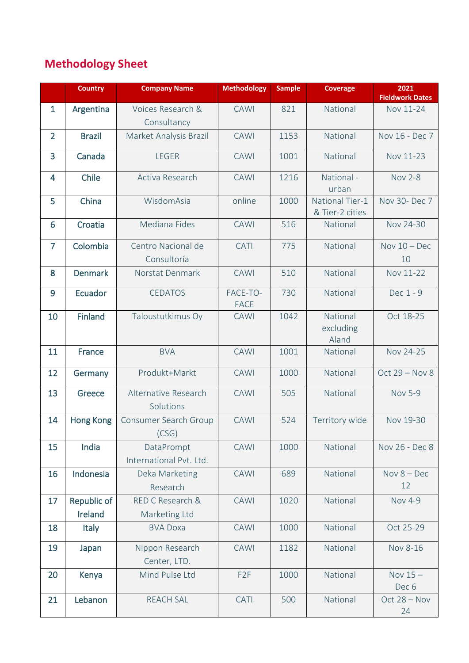# **Methodology Sheet**

|                | <b>Country</b>   | <b>Company Name</b>                   | <b>Methodology</b>      | <b>Sample</b> | <b>Coverage</b>                    | 2021                   |
|----------------|------------------|---------------------------------------|-------------------------|---------------|------------------------------------|------------------------|
|                |                  |                                       |                         |               |                                    | <b>Fieldwork Dates</b> |
| $\mathbf{1}$   | Argentina        | Voices Research &                     | <b>CAWI</b>             | 821           | National                           | Nov 11-24              |
|                |                  | Consultancy                           |                         |               |                                    |                        |
| $\overline{2}$ | <b>Brazil</b>    | Market Analysis Brazil                | <b>CAWI</b>             | 1153          | National                           | Nov 16 - Dec 7         |
| 3              | Canada           | <b>LEGER</b>                          | <b>CAWI</b>             | 1001          | National                           | Nov 11-23              |
| 4              | Chile            | Activa Research                       | <b>CAWI</b>             | 1216          | National -<br>urban                | <b>Nov 2-8</b>         |
| 5              | China            | WisdomAsia                            | online                  | 1000          | National Tier-1<br>& Tier-2 cities | Nov 30- Dec 7          |
| 6              | Croatia          | Mediana Fides                         | <b>CAWI</b>             | 516           | National                           | Nov 24-30              |
| $\overline{7}$ | Colombia         | Centro Nacional de                    | CATI                    | 775           | National                           | Nov $10 - Dec$         |
|                |                  | Consultoría                           |                         |               |                                    | 10                     |
| 8              | <b>Denmark</b>   | Norstat Denmark                       | <b>CAWI</b>             | 510           | National                           | Nov 11-22              |
| 9              | Ecuador          | <b>CEDATOS</b>                        | FACE-TO-<br><b>FACE</b> | 730           | National                           | Dec 1 - 9              |
| 10             | <b>Finland</b>   | Taloustutkimus Oy                     | <b>CAWI</b>             | 1042          | National<br>excluding<br>Aland     | Oct 18-25              |
| 11             | <b>France</b>    | <b>BVA</b>                            | <b>CAWI</b>             | 1001          | National                           | Nov 24-25              |
| 12             | Germany          | Produkt+Markt                         | <b>CAWI</b>             | 1000          | National                           | Oct 29 - Nov 8         |
| 13             | Greece           | Alternative Research<br>Solutions     | <b>CAWI</b>             | 505           | National                           | <b>Nov 5-9</b>         |
| 14             | <b>Hong Kong</b> | Consumer Search Group<br>(CSG)        | <b>CAWI</b>             | 524           | Territory wide                     | Nov 19-30              |
| 15             | India            | DataPrompt<br>International Pvt. Ltd. | <b>CAWI</b>             | 1000          | National                           | Nov 26 - Dec 8         |
| 16             | Indonesia        | Deka Marketing<br>Research            | <b>CAWI</b>             | 689           | National                           | Nov $8 - Dec$<br>12    |
| 17             | Republic of      | RED C Research &                      | <b>CAWI</b>             | 1020          | National                           | <b>Nov 4-9</b>         |
|                | Ireland          | Marketing Ltd                         |                         |               |                                    |                        |
| 18             | <b>Italy</b>     | <b>BVA Doxa</b>                       | <b>CAWI</b>             | 1000          | National                           | Oct 25-29              |
| 19             | Japan            | Nippon Research                       | <b>CAWI</b>             | 1182          | National                           | Nov 8-16               |
|                |                  | Center, LTD.                          |                         |               |                                    |                        |
| 20             | Kenya            | Mind Pulse Ltd                        | F <sub>2</sub> F        | 1000          | National                           | Nov $15-$<br>Dec 6     |
| 21             | Lebanon          | <b>REACH SAL</b>                      | CATI                    | 500           | National                           | Oct $28 - Nov$<br>24   |